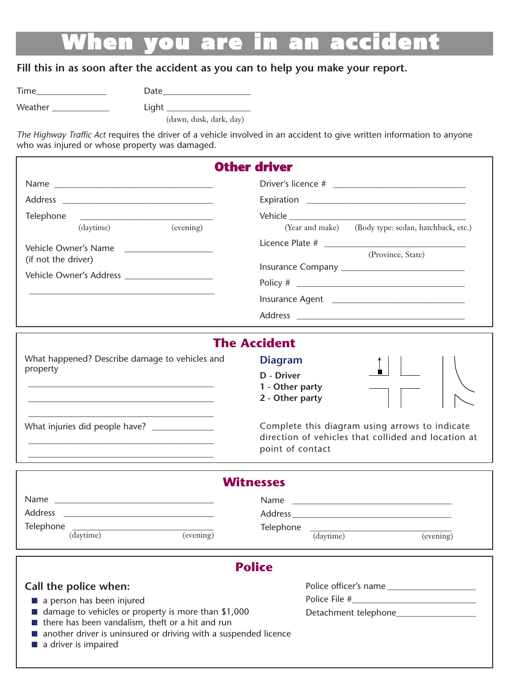# **When you are in an accident**

#### **Fill this in as soon after the accident as you can to help you make your report.**

Time\_\_\_\_\_\_\_\_\_\_\_\_\_\_\_\_ Date\_\_\_\_\_\_\_\_\_\_\_\_\_\_\_\_\_\_\_\_

Weather \_\_\_\_\_\_\_\_\_\_\_\_\_ Light \_\_\_\_\_\_\_\_\_\_\_\_\_\_\_\_\_\_\_

(dawn, dusk, dark, day)

*The Highway Traffic Act* requires the driver of a vehicle involved in an accident to give written information to anyone who was injured or whose property was damaged.

|                                                                                                                                      | <b>Other driver</b>                                                      |                                                            |                                                                                                                           |
|--------------------------------------------------------------------------------------------------------------------------------------|--------------------------------------------------------------------------|------------------------------------------------------------|---------------------------------------------------------------------------------------------------------------------------|
| Telephone<br>(daytime)<br>(evening)<br>Vehicle Owner's Name<br>(if not the driver)<br>Vehicle Owner's Address ______________________ | (Year and make) (Body type: sedan, hatchback, etc.)<br>(Province, State) |                                                            |                                                                                                                           |
|                                                                                                                                      |                                                                          |                                                            | <b>The Accident</b>                                                                                                       |
|                                                                                                                                      |                                                                          | What happened? Describe damage to vehicles and<br>property | <b>Diagram</b><br>D - Driver<br>1 - Other party<br>2 - Other party                                                        |
|                                                                                                                                      |                                                                          |                                                            | Complete this diagram using arrows to indicate<br>direction of vehicles that collided and location at<br>point of contact |
|                                                                                                                                      | <b>Witnesses</b>                                                         |                                                            |                                                                                                                           |
|                                                                                                                                      |                                                                          |                                                            |                                                                                                                           |
|                                                                                                                                      |                                                                          |                                                            |                                                                                                                           |
| $\begin{tabular}{c} \textbf{Telephone} \\ \textbf{(dynamic)} \end{tabular} \begin{tabular}{c} \textbf{(evening)} \end{tabular}$      | Telephone (daytime)<br>$\overline{(evening)}$                            |                                                            |                                                                                                                           |
|                                                                                                                                      | <b>Police</b>                                                            |                                                            |                                                                                                                           |
| Call the police when:                                                                                                                | Police officer's name                                                    |                                                            |                                                                                                                           |
| a person has been injured                                                                                                            |                                                                          |                                                            |                                                                                                                           |
| ■ damage to vehicles or property is more than \$1,000                                                                                | Detachment telephone                                                     |                                                            |                                                                                                                           |

- there has been vandalism, theft or a hit and run
- another driver is uninsured or driving with a suspended licence
- a driver is impaired